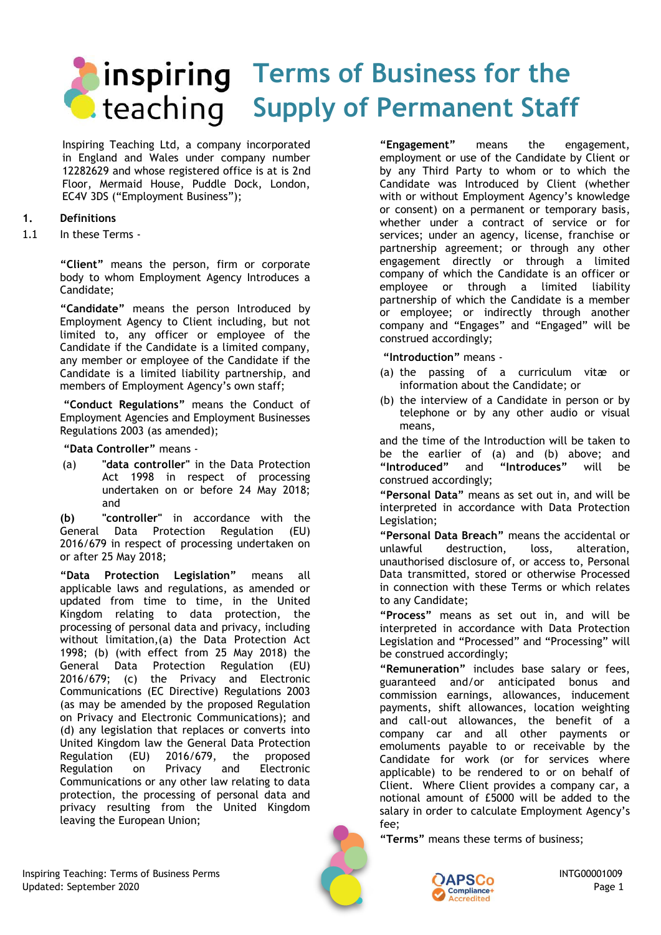# **Terms of Business for the C** teaching Supply of Permanent Staff

Inspiring Teaching Ltd, a company incorporated in England and Wales under company number 12282629 and whose registered office is at is 2nd Floor, Mermaid House, Puddle Dock, London, EC4V 3DS ("Employment Business");

# **1. Definitions**

1.1 In these Terms -

**"Client"** means the person, firm or corporate body to whom Employment Agency Introduces a Candidate;

**"Candidate"** means the person Introduced by Employment Agency to Client including, but not limited to, any officer or employee of the Candidate if the Candidate is a limited company, any member or employee of the Candidate if the Candidate is a limited liability partnership, and members of Employment Agency's own staff;

**"Conduct Regulations"** means the Conduct of Employment Agencies and Employment Businesses Regulations 2003 (as amended);

**"Data Controller"** means -

(a) **"data controller"** in the Data Protection Act 1998 in respect of processing undertaken on or before 24 May 2018; and

**(b) "controller"** in accordance with the General Data Protection Regulation (EU) 2016/679 in respect of processing undertaken on or after 25 May 2018;

**"Data Protection Legislation"** means all applicable laws and regulations, as amended or updated from time to time, in the United Kingdom relating to data protection, the processing of personal data and privacy, including without limitation,(a) the Data Protection Act 1998; (b) (with effect from 25 May 2018) the General Data Protection Regulation (EU) 2016/679; (c) the Privacy and Electronic Communications (EC Directive) Regulations 2003 (as may be amended by the proposed Regulation on Privacy and Electronic Communications); and (d) any legislation that replaces or converts into United Kingdom law the General Data Protection Regulation (EU) 2016/679, the proposed Regulation on Privacy and Electronic Communications or any other law relating to data protection, the processing of personal data and privacy resulting from the United Kingdom leaving the European Union;

**"Engagement"** means the engagement, employment or use of the Candidate by Client or by any Third Party to whom or to which the Candidate was Introduced by Client (whether with or without Employment Agency's knowledge or consent) on a permanent or temporary basis, whether under a contract of service or for services; under an agency, license, franchise or partnership agreement; or through any other engagement directly or through a limited company of which the Candidate is an officer or employee or through a limited liability partnership of which the Candidate is a member or employee; or indirectly through another company and "Engages" and "Engaged" will be construed accordingly;

**"Introduction"** means -

- (a) the passing of a curriculum vitæ or information about the Candidate; or
- (b) the interview of a Candidate in person or by telephone or by any other audio or visual means,

and the time of the Introduction will be taken to be the earlier of (a) and (b) above; and "Introduced" and "Introduces" will be **"Introduced"** and **"Introduces"** will be construed accordingly;

**"Personal Data"** means as set out in, and will be interpreted in accordance with Data Protection Legislation;

**"Personal Data Breach"** means the accidental or unlawful destruction, loss, alteration, unauthorised disclosure of, or access to, Personal Data transmitted, stored or otherwise Processed in connection with these Terms or which relates to any Candidate;

**"Process"** means as set out in, and will be interpreted in accordance with Data Protection Legislation and "Processed" and "Processing" will be construed accordingly;

**"Remuneration"** includes base salary or fees, guaranteed and/or anticipated bonus and commission earnings, allowances, inducement payments, shift allowances, location weighting and call-out allowances, the benefit of a company car and all other payments or emoluments payable to or receivable by the Candidate for work (or for services where applicable) to be rendered to or on behalf of Client. Where Client provides a company car, a notional amount of £5000 will be added to the salary in order to calculate Employment Agency's fee;

**"Terms"** means these terms of business;

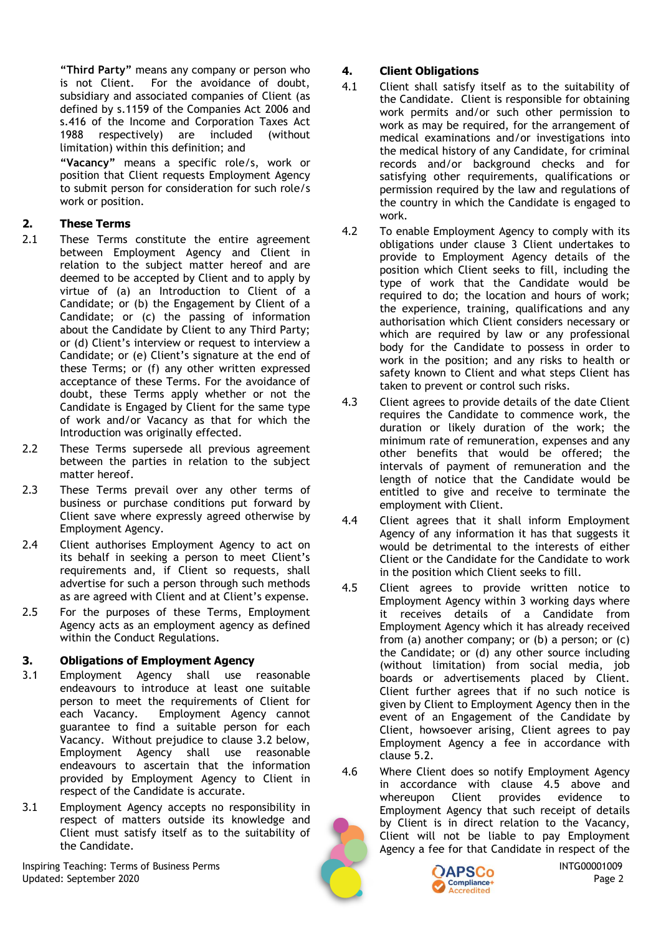**"Third Party"** means any company or person who is not Client. For the avoidance of doubt, subsidiary and associated companies of Client (as defined by s.1159 of the Companies Act 2006 and s.416 of the Income and Corporation Taxes Act 1988 respectively) are included (without limitation) within this definition; and

**"Vacancy"** means a specific role/s, work or position that Client requests Employment Agency to submit person for consideration for such role/s work or position.

# **2. These Terms**

- 2.1 These Terms constitute the entire agreement between Employment Agency and Client in relation to the subject matter hereof and are deemed to be accepted by Client and to apply by virtue of (a) an Introduction to Client of a Candidate; or (b) the Engagement by Client of a Candidate; or (c) the passing of information about the Candidate by Client to any Third Party; or (d) Client's interview or request to interview a Candidate; or (e) Client's signature at the end of these Terms; or (f) any other written expressed acceptance of these Terms. For the avoidance of doubt, these Terms apply whether or not the Candidate is Engaged by Client for the same type of work and/or Vacancy as that for which the Introduction was originally effected.
- 2.2 These Terms supersede all previous agreement between the parties in relation to the subject matter hereof.
- 2.3 These Terms prevail over any other terms of business or purchase conditions put forward by Client save where expressly agreed otherwise by Employment Agency.
- 2.4 Client authorises Employment Agency to act on its behalf in seeking a person to meet Client's requirements and, if Client so requests, shall advertise for such a person through such methods as are agreed with Client and at Client's expense.
- 2.5 For the purposes of these Terms, Employment Agency acts as an employment agency as defined within the Conduct Regulations.

# **3. Obligations of Employment Agency**

- 3.1 Employment Agency shall use reasonable endeavours to introduce at least one suitable person to meet the requirements of Client for each Vacancy. Employment Agency cannot guarantee to find a suitable person for each Vacancy. Without prejudice to clause 3.2 below, Employment Agency shall use reasonable endeavours to ascertain that the information provided by Employment Agency to Client in respect of the Candidate is accurate.
- 3.1 Employment Agency accepts no responsibility in respect of matters outside its knowledge and Client must satisfy itself as to the suitability of the Candidate.

Inspiring Teaching: Terms of Business Perms INTG00001009 Updated: September 2020 Page 2

# **4. Client Obligations**

- 4.1 Client shall satisfy itself as to the suitability of the Candidate. Client is responsible for obtaining work permits and/or such other permission to work as may be required, for the arrangement of medical examinations and/or investigations into the medical history of any Candidate, for criminal records and/or background checks and for satisfying other requirements, qualifications or permission required by the law and regulations of the country in which the Candidate is engaged to work.
- 4.2 To enable Employment Agency to comply with its obligations under clause 3 Client undertakes to provide to Employment Agency details of the position which Client seeks to fill, including the type of work that the Candidate would be required to do; the location and hours of work; the experience, training, qualifications and any authorisation which Client considers necessary or which are required by law or any professional body for the Candidate to possess in order to work in the position; and any risks to health or safety known to Client and what steps Client has taken to prevent or control such risks.
- 4.3 Client agrees to provide details of the date Client requires the Candidate to commence work, the duration or likely duration of the work; the minimum rate of remuneration, expenses and any other benefits that would be offered; the intervals of payment of remuneration and the length of notice that the Candidate would be entitled to give and receive to terminate the employment with Client.
- 4.4 Client agrees that it shall inform Employment Agency of any information it has that suggests it would be detrimental to the interests of either Client or the Candidate for the Candidate to work in the position which Client seeks to fill.
- 4.5 Client agrees to provide written notice to Employment Agency within 3 working days where it receives details of a Candidate from Employment Agency which it has already received from (a) another company; or (b) a person; or  $(c)$ the Candidate; or (d) any other source including (without limitation) from social media, job boards or advertisements placed by Client. Client further agrees that if no such notice is given by Client to Employment Agency then in the event of an Engagement of the Candidate by Client, howsoever arising, Client agrees to pay Employment Agency a fee in accordance with clause 5.2.
- 4.6 Where Client does so notify Employment Agency in accordance with clause 4.5 above and whereupon Client provides evidence to Employment Agency that such receipt of details by Client is in direct relation to the Vacancy, Client will not be liable to pay Employment Agency a fee for that Candidate in respect of the



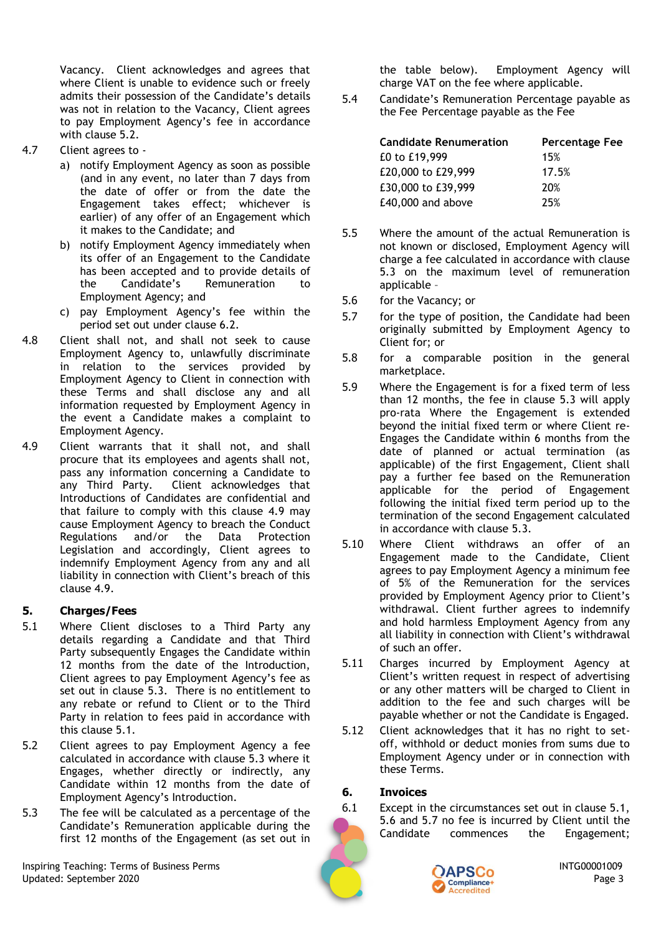Vacancy. Client acknowledges and agrees that where Client is unable to evidence such or freely admits their possession of the Candidate's details was not in relation to the Vacancy, Client agrees to pay Employment Agency's fee in accordance with clause 5.2.

- 4.7 Client agrees to
	- a) notify Employment Agency as soon as possible (and in any event, no later than 7 days from the date of offer or from the date the Engagement takes effect; whichever is earlier) of any offer of an Engagement which it makes to the Candidate; and
	- b) notify Employment Agency immediately when its offer of an Engagement to the Candidate has been accepted and to provide details of the Candidate's Remuneration to Employment Agency; and
	- c) pay Employment Agency's fee within the period set out under clause 6.2.
- 4.8 Client shall not, and shall not seek to cause Employment Agency to, unlawfully discriminate in relation to the services provided by Employment Agency to Client in connection with these Terms and shall disclose any and all information requested by Employment Agency in the event a Candidate makes a complaint to Employment Agency.
- 4.9 Client warrants that it shall not, and shall procure that its employees and agents shall not, pass any information concerning a Candidate to any Third Party. Client acknowledges that Introductions of Candidates are confidential and that failure to comply with this clause 4.9 may cause Employment Agency to breach the Conduct Regulations and/or the Data Protection Legislation and accordingly, Client agrees to indemnify Employment Agency from any and all liability in connection with Client's breach of this clause 4.9.

### **5. Charges/Fees**

- 5.1 Where Client discloses to a Third Party any details regarding a Candidate and that Third Party subsequently Engages the Candidate within 12 months from the date of the Introduction, Client agrees to pay Employment Agency's fee as set out in clause 5.3. There is no entitlement to any rebate or refund to Client or to the Third Party in relation to fees paid in accordance with this clause 5.1.
- 5.2 Client agrees to pay Employment Agency a fee calculated in accordance with clause 5.3 where it Engages, whether directly or indirectly, any Candidate within 12 months from the date of Employment Agency's Introduction.
- 5.3 The fee will be calculated as a percentage of the Candidate's Remuneration applicable during the first 12 months of the Engagement (as set out in

Inspiring Teaching: Terms of Business Perms INTG00001009 Updated: September 2020 Page 3

the table below). Employment Agency will charge VAT on the fee where applicable.

5.4 Candidate's Remuneration Percentage payable as the Fee Percentage payable as the Fee

| <b>Candidate Renumeration</b> | <b>Percentage Fee</b> |
|-------------------------------|-----------------------|
| £0 to £19,999                 | 15%                   |
| £20,000 to £29,999            | 17.5%                 |
| £30,000 to £39,999            | 20%                   |
| £40,000 and above             | 25%                   |

- 5.5 Where the amount of the actual Remuneration is not known or disclosed, Employment Agency will charge a fee calculated in accordance with clause 5.3 on the maximum level of remuneration applicable –
- 5.6 for the Vacancy; or
- 5.7 for the type of position, the Candidate had been originally submitted by Employment Agency to Client for; or
- 5.8 for a comparable position in the general marketplace.
- 5.9 Where the Engagement is for a fixed term of less than 12 months, the fee in clause 5.3 will apply pro-rata Where the Engagement is extended beyond the initial fixed term or where Client re-Engages the Candidate within 6 months from the date of planned or actual termination (as applicable) of the first Engagement, Client shall pay a further fee based on the Remuneration applicable for the period of Engagement following the initial fixed term period up to the termination of the second Engagement calculated in accordance with clause 5.3.
- 5.10 Where Client withdraws an offer of an Engagement made to the Candidate, Client agrees to pay Employment Agency a minimum fee of 5% of the Remuneration for the services provided by Employment Agency prior to Client's withdrawal. Client further agrees to indemnify and hold harmless Employment Agency from any all liability in connection with Client's withdrawal of such an offer.
- 5.11 Charges incurred by Employment Agency at Client's written request in respect of advertising or any other matters will be charged to Client in addition to the fee and such charges will be payable whether or not the Candidate is Engaged.
- 5.12 Client acknowledges that it has no right to setoff, withhold or deduct monies from sums due to Employment Agency under or in connection with these Terms.

### **6. Invoices**

6.1 Except in the circumstances set out in clause 5.1, 5.6 and 5.7 no fee is incurred by Client until the Candidate commences the Engagement;

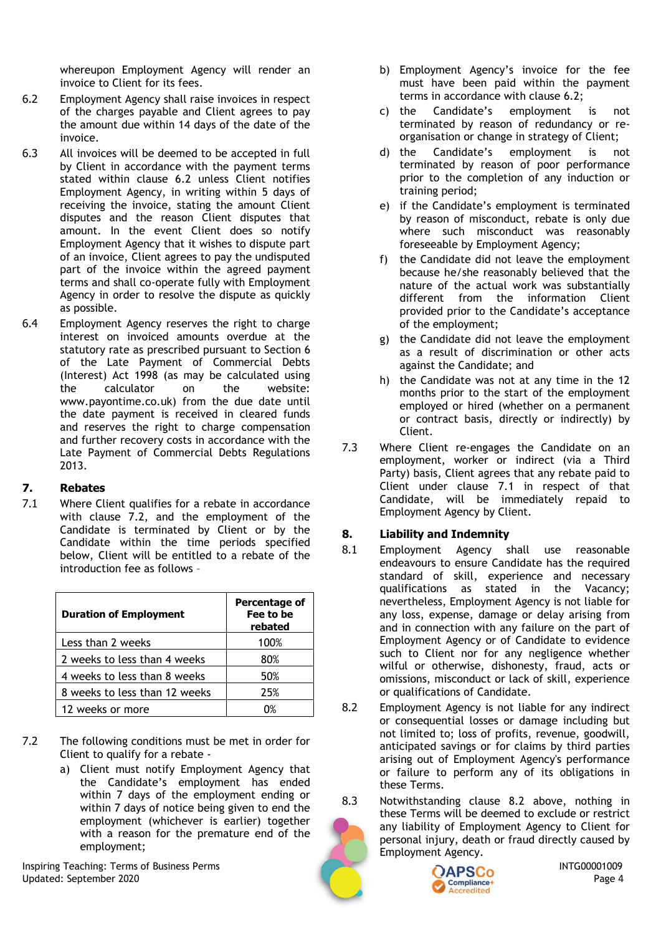whereupon Employment Agency will render an invoice to Client for its fees.

- 6.2 Employment Agency shall raise invoices in respect of the charges payable and Client agrees to pay the amount due within 14 days of the date of the invoice.
- 6.3 All invoices will be deemed to be accepted in full by Client in accordance with the payment terms stated within clause 6.2 unless Client notifies Employment Agency, in writing within 5 days of receiving the invoice, stating the amount Client disputes and the reason Client disputes that amount. In the event Client does so notify Employment Agency that it wishes to dispute part of an invoice, Client agrees to pay the undisputed part of the invoice within the agreed payment terms and shall co-operate fully with Employment Agency in order to resolve the dispute as quickly as possible.
- 6.4 Employment Agency reserves the right to charge interest on invoiced amounts overdue at the statutory rate as prescribed pursuant to Section 6 of the Late Payment of Commercial Debts (Interest) Act 1998 (as may be calculated using the calculator on the website: www.payontime.co.uk) from the due date until the date payment is received in cleared funds and reserves the right to charge compensation and further recovery costs in accordance with the Late Payment of Commercial Debts Regulations 2013.

### **7. Rebates**

7.1 Where Client qualifies for a rebate in accordance with clause 7.2, and the employment of the Candidate is terminated by Client or by the Candidate within the time periods specified below, Client will be entitled to a rebate of the introduction fee as follows –

| <b>Duration of Employment</b> | Percentage of<br>Fee to be<br>rebated |
|-------------------------------|---------------------------------------|
| Less than 2 weeks             | 100%                                  |
| 2 weeks to less than 4 weeks  | 80%                                   |
| 4 weeks to less than 8 weeks  | 50%                                   |
| 8 weeks to less than 12 weeks | 25%                                   |
| 12 weeks or more              |                                       |

- 7.2 The following conditions must be met in order for Client to qualify for a rebate
	- a) Client must notify Employment Agency that the Candidate's employment has ended within 7 days of the employment ending or within 7 days of notice being given to end the employment (whichever is earlier) together with a reason for the premature end of the employment;

Inspiring Teaching: Terms of Business Perms INTG00001009 Updated: September 2020 Page 4

- b) Employment Agency's invoice for the fee must have been paid within the payment terms in accordance with clause 6.2;
- c) the Candidate's employment is not terminated by reason of redundancy or reorganisation or change in strategy of Client;
- d) the Candidate's employment is not terminated by reason of poor performance prior to the completion of any induction or training period;
- e) if the Candidate's employment is terminated by reason of misconduct, rebate is only due where such misconduct was reasonably foreseeable by Employment Agency;
- f) the Candidate did not leave the employment because he/she reasonably believed that the nature of the actual work was substantially different from the information Client provided prior to the Candidate's acceptance of the employment;
- g) the Candidate did not leave the employment as a result of discrimination or other acts against the Candidate; and
- h) the Candidate was not at any time in the 12 months prior to the start of the employment employed or hired (whether on a permanent or contract basis, directly or indirectly) by Client.
- 7.3 Where Client re-engages the Candidate on an employment, worker or indirect (via a Third Party) basis, Client agrees that any rebate paid to Client under clause 7.1 in respect of that Candidate, will be immediately repaid to Employment Agency by Client.

# **8. Liability and Indemnity**

- 8.1 Employment Agency shall use reasonable endeavours to ensure Candidate has the required standard of skill, experience and necessary qualifications as stated in the Vacancy; nevertheless, Employment Agency is not liable for any loss, expense, damage or delay arising from and in connection with any failure on the part of Employment Agency or of Candidate to evidence such to Client nor for any negligence whether wilful or otherwise, dishonesty, fraud, acts or omissions, misconduct or lack of skill, experience or qualifications of Candidate.
- 8.2 Employment Agency is not liable for any indirect or consequential losses or damage including but not limited to; loss of profits, revenue, goodwill, anticipated savings or for claims by third parties arising out of Employment Agency's performance or failure to perform any of its obligations in these Terms.
- 8.3 Notwithstanding clause 8.2 above, nothing in these Terms will be deemed to exclude or restrict any liability of Employment Agency to Client for personal injury, death or fraud directly caused by Employment Agency.

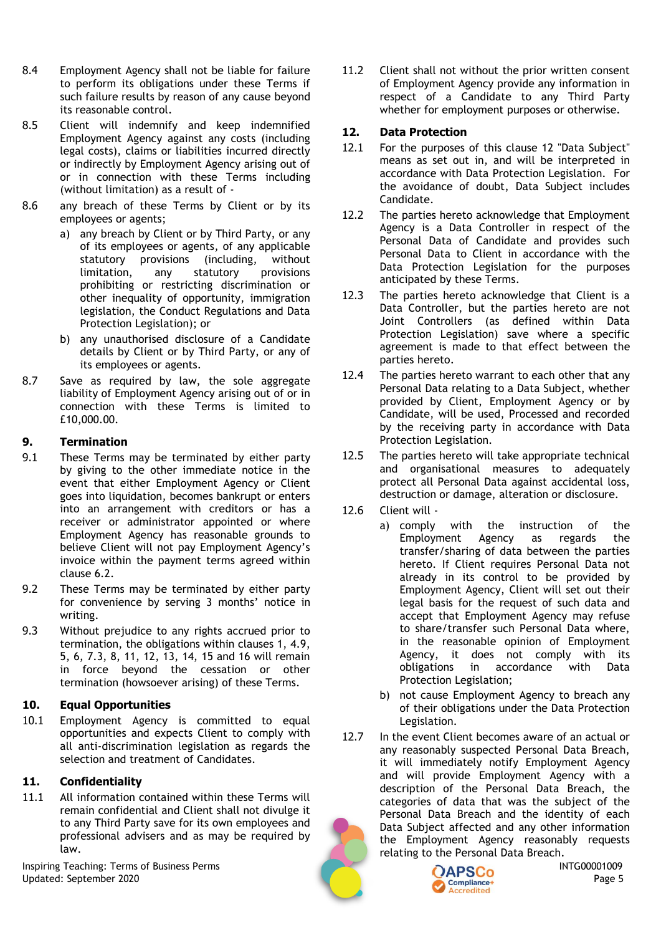- 8.4 Employment Agency shall not be liable for failure to perform its obligations under these Terms if such failure results by reason of any cause beyond its reasonable control.
- 8.5 Client will indemnify and keep indemnified Employment Agency against any costs (including legal costs), claims or liabilities incurred directly or indirectly by Employment Agency arising out of or in connection with these Terms including (without limitation) as a result of -
- 8.6 any breach of these Terms by Client or by its employees or agents;
	- a) any breach by Client or by Third Party, or any of its employees or agents, of any applicable statutory provisions (including, without limitation, any statutory provisions prohibiting or restricting discrimination or other inequality of opportunity, immigration legislation, the Conduct Regulations and Data Protection Legislation); or
	- b) any unauthorised disclosure of a Candidate details by Client or by Third Party, or any of its employees or agents.
- 8.7 Save as required by law, the sole aggregate liability of Employment Agency arising out of or in connection with these Terms is limited to £10,000.00.

# **9. Termination**

- 9.1 These Terms may be terminated by either party by giving to the other immediate notice in the event that either Employment Agency or Client goes into liquidation, becomes bankrupt or enters into an arrangement with creditors or has a receiver or administrator appointed or where Employment Agency has reasonable grounds to believe Client will not pay Employment Agency's invoice within the payment terms agreed within clause 6.2.
- 9.2 These Terms may be terminated by either party for convenience by serving 3 months' notice in writing.
- 9.3 Without prejudice to any rights accrued prior to termination, the obligations within clauses 1, 4.9, 5, 6, 7.3, 8, 11, 12, 13, 14, 15 and 16 will remain in force beyond the cessation or other termination (howsoever arising) of these Terms.

### **10. Equal Opportunities**

10.1 Employment Agency is committed to equal opportunities and expects Client to comply with all anti-discrimination legislation as regards the selection and treatment of Candidates.

### **11. Confidentiality**

11.1 All information contained within these Terms will remain confidential and Client shall not divulge it to any Third Party save for its own employees and professional advisers and as may be required by law.

Inspiring Teaching: Terms of Business Perms INTG00001009 Updated: September 2020 Page 5

11.2 Client shall not without the prior written consent of Employment Agency provide any information in respect of a Candidate to any Third Party whether for employment purposes or otherwise.

## **12. Data Protection**

- 12.1 For the purposes of this clause 12 "Data Subject" means as set out in, and will be interpreted in accordance with Data Protection Legislation. For the avoidance of doubt, Data Subject includes Candidate.
- 12.2 The parties hereto acknowledge that Employment Agency is a Data Controller in respect of the Personal Data of Candidate and provides such Personal Data to Client in accordance with the Data Protection Legislation for the purposes anticipated by these Terms.
- 12.3 The parties hereto acknowledge that Client is a Data Controller, but the parties hereto are not Joint Controllers (as defined within Data Protection Legislation) save where a specific agreement is made to that effect between the parties hereto.
- 12.4 The parties hereto warrant to each other that any Personal Data relating to a Data Subject, whether provided by Client, Employment Agency or by Candidate, will be used, Processed and recorded by the receiving party in accordance with Data Protection Legislation.
- 12.5 The parties hereto will take appropriate technical and organisational measures to adequately protect all Personal Data against accidental loss, destruction or damage, alteration or disclosure.
- 12.6 Client will
	- a) comply with the instruction of the Employment Agency as regards the transfer/sharing of data between the parties hereto. If Client requires Personal Data not already in its control to be provided by Employment Agency, Client will set out their legal basis for the request of such data and accept that Employment Agency may refuse to share/transfer such Personal Data where, in the reasonable opinion of Employment Agency, it does not comply with its obligations in accordance with Data Protection Legislation;
		- b) not cause Employment Agency to breach any of their obligations under the Data Protection Legislation.
- 12.7 In the event Client becomes aware of an actual or any reasonably suspected Personal Data Breach, it will immediately notify Employment Agency and will provide Employment Agency with a description of the Personal Data Breach, the categories of data that was the subject of the Personal Data Breach and the identity of each Data Subject affected and any other information the Employment Agency reasonably requests relating to the Personal Data Breach.